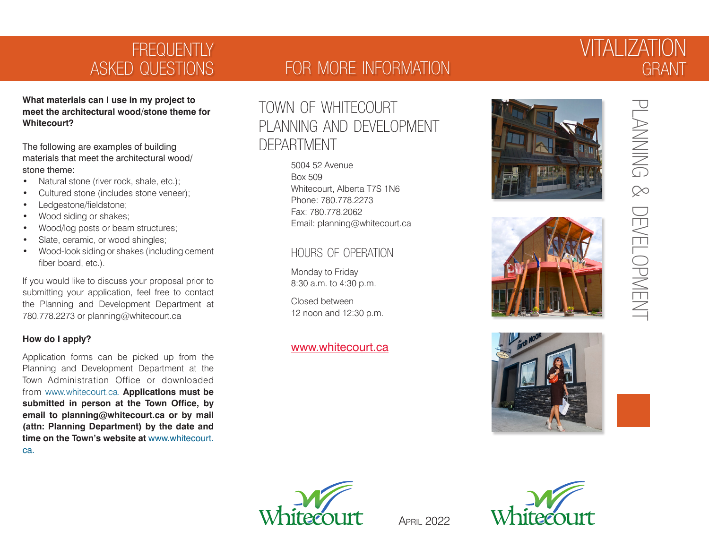# **FREQUENTLY** asked questions

#### **What materials can I use in my project to meet the architectural wood/stone theme for Whitecourt?**

The following are examples of building materials that meet the architectural wood/ stone theme:

- Natural stone (river rock, shale, etc.);
- Cultured stone (includes stone veneer);
- Ledgestone/fieldstone;
- Wood siding or shakes;
- Wood/log posts or beam structures;
- Slate, ceramic, or wood shingles;
- Wood-look siding or shakes (including cement fiber board, etc.).

If you would like to discuss your proposal prior to submitting your application, feel free to contact the Planning and Development Department at 780.778.2273 or planning@whitecourt.ca

#### **How do I apply?**

Application forms can be picked up from the Planning and Development Department at the Town Administration Office or downloaded from www.whitecourt.ca. **Applications must be submitted in person at the Town Office, by email to planning@whitecourt.ca or by mail (attn: Planning Department) by the date and time on the Town's website at** www.whitecourt. ca.

## for more information

# town of whitecourt planning and development department

5004 52 Avenue Box 509 Whitecourt, Alberta T7S 1N6 Phone: 780.778.2273 Fax: 780.778.2062 Email: planning@whitecourt.ca

### hours of operation

Monday to Friday 8:30 a.m. to 4:30 p.m.

Closed between 12 noon and 12:30 p.m.

#### www.whitecourt.ca









April 2022



# iai izat GRANT